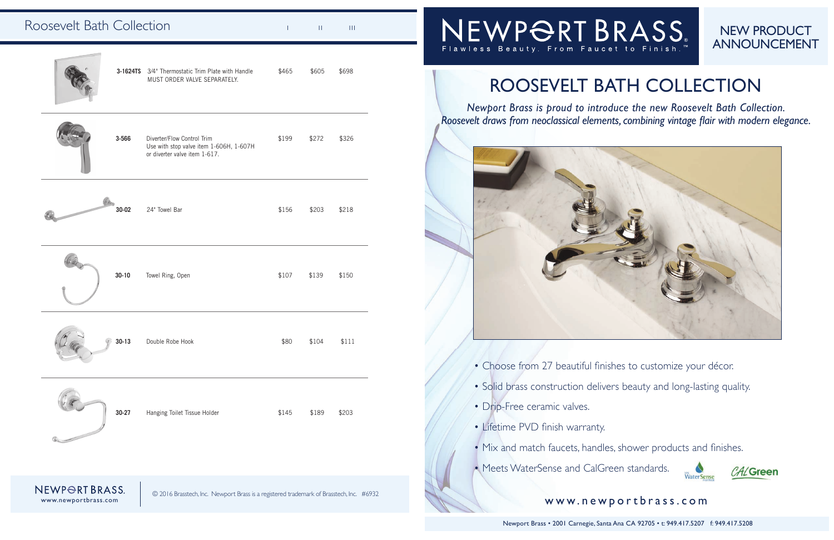*Newport Brass is proud to introduce the new Roosevelt Bath Collection. Roosevelt draws from neoclassical elements, combining vintage flair with modern elegance.* 



www.newportbrass.com

III in III

### NEW PRODUCT ANNOUNCEMENT





## ROOSEVELT BATH COLLECTION

Newport Brass • 2001 Carnegie, Santa Ana CA 92705 • t: 949.417.5207 f: 949.417.5208



|                | 3-1624TS 3/4" Thermostatic Trim Plate with Handle<br>MUST ORDER VALVE SEPARATELY.                      | \$465 | \$605 | \$698 |  |
|----------------|--------------------------------------------------------------------------------------------------------|-------|-------|-------|--|
| 3-566          | Diverter/Flow Control Trim<br>Use with stop valve item 1-606H, 1-607H<br>or diverter valve item 1-617. | \$199 | \$272 | \$326 |  |
| 30-02          | 24" Towel Bar                                                                                          | \$156 | \$203 | \$218 |  |
| $30 - 10$      | Towel Ring, Open                                                                                       | \$107 | \$139 | \$150 |  |
| $30-13$        | Double Robe Hook                                                                                       | \$80  | \$104 | \$111 |  |
| $30 - 27$      | Hanging Toilet Tissue Holder                                                                           | \$145 | \$189 | \$203 |  |
| VEWPORT BRASS. | © 2016 Brasstech, Inc. Newport Brass is a registered trademark of Brasstech, Inc. #6932                |       |       |       |  |

# NEWPORTBRASS

#### www.newportbrass.com

- Choose from 27 beautiful finishes to customize your décor.
- Solid brass construction delivers beauty and long-lasting quality.
- Drip-Free ceramic valves.
- Lifetime PVD finish warranty.
- Mix and match faucets, handles, shower products and finishes.
- Meets WaterSense and CalGreen standards.

### Roosevelt Bath Collection